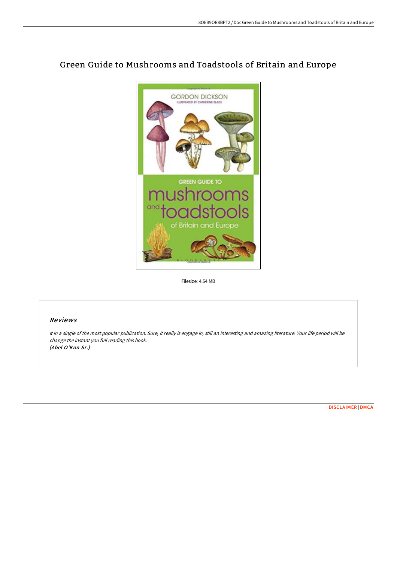

## Green Guide to Mushrooms and Toadstools of Britain and Europe

Filesize: 4.54 MB

## Reviews

It in <sup>a</sup> single of the most popular publication. Sure, it really is engage in, still an interesting and amazing literature. Your life period will be change the instant you full reading this book. (Abel O'Kon Sr.)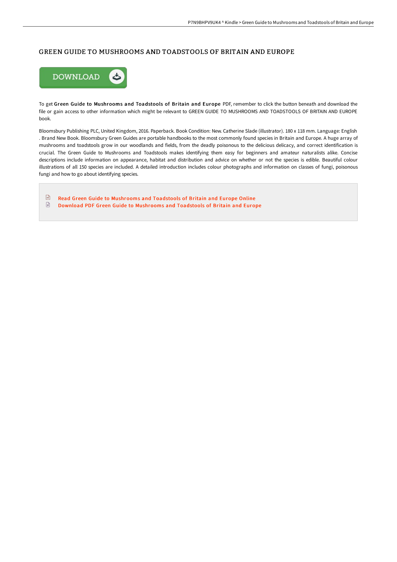## GREEN GUIDE TO MUSHROOMS AND TOADSTOOLS OF BRITAIN AND EUROPE



To get Green Guide to Mushrooms and Toadstools of Britain and Europe PDF, remember to click the button beneath and download the file or gain access to other information which might be relevant to GREEN GUIDE TO MUSHROOMS AND TOADSTOOLS OF BRITAIN AND EUROPE book.

Bloomsbury Publishing PLC, United Kingdom, 2016. Paperback. Book Condition: New. Catherine Slade (illustrator). 180 x 118 mm. Language: English . Brand New Book. Bloomsbury Green Guides are portable handbooks to the most commonly found species in Britain and Europe. A huge array of mushrooms and toadstools grow in our woodlands and fields, from the deadly poisonous to the delicious delicacy, and correct identification is crucial. The Green Guide to Mushrooms and Toadstools makes identifying them easy for beginners and amateur naturalists alike. Concise descriptions include information on appearance, habitat and distribution and advice on whether or not the species is edible. Beautiful colour illustrations of all 150 species are included. A detailed introduction includes colour photographs and information on classes of fungi, poisonous fungi and how to go about identifying species.

 $\mathbf{H}$ Read Green Guide to [Mushrooms](http://techno-pub.tech/green-guide-to-mushrooms-and-toadstools-of-brita.html) and Toadstools of Britain and Europe Online  $\begin{tabular}{|c|c|} \hline \multicolumn{3}{|c|}{\textbf{1}} & \multicolumn{3}{|c|}{\textbf{2}} \\ \hline \multicolumn{3}{|c|}{\textbf{3}} & \multicolumn{3}{|c|}{\textbf{4}} \\ \hline \multicolumn{3}{|c|}{\textbf{5}} & \multicolumn{3}{|c|}{\textbf{6}} \\ \hline \multicolumn{3}{|c|}{\textbf{6}} & \multicolumn{3}{|c|}{\textbf{7}} \\ \hline \multicolumn{3}{|c|}{\textbf{6}} & \multicolumn{3}{|c|}{\textbf{7}} \\ \hline \multicolumn{3}{|c|$ Download PDF Green Guide to [Mushrooms](http://techno-pub.tech/green-guide-to-mushrooms-and-toadstools-of-brita.html) and Toadstools of Britain and Europe